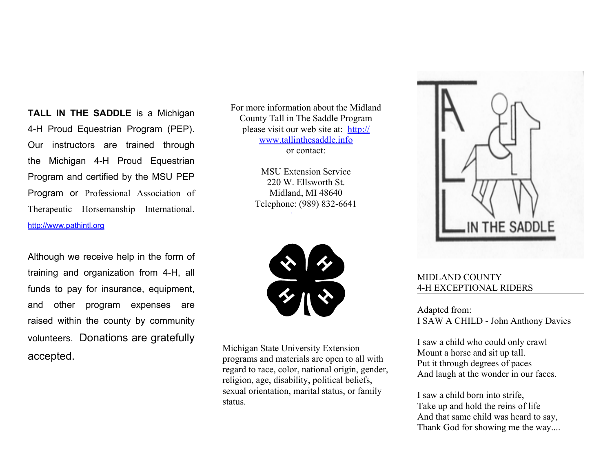**TALL IN THE SADDLE** is a Michigan 4-H Proud Equestrian Program (PEP). Our instructors are trained through the Michigan 4-H Proud Equestrian Program and certified by the MSU PEP Program or Professional Association of Therapeutic Horsemanship International. <http://www.pathintl.org>

Although we receive help in the form of training and organization from 4-H, all funds to pay for insurance, equipment, and other program expenses are raised within the county by community volunteers. Donations are gratefully accepted.

For more information about the Midland County Tall in The Saddle Program please visit our web site at: [http://](http://www.tallinthesaddle.info) [www.tallinthesaddle.info](http://www.tallinthesaddle.info) or contact:

> MSU Extension Service 220 W. Ellsworth St. Midland, MI 48640 Telephone: (989) 832-6641



Michigan State University Extension programs and materials are open to all with regard to race, color, national origin, gender, religion, age, disability, political beliefs, sexual orientation, marital status, or family status.



## MIDLAND COUNTY 4-H EXCEPTIONAL RIDERS

Adapted from: I SAW A CHILD - John Anthony Davies

I saw a child who could only crawl Mount a horse and sit up tall. Put it through degrees of paces And laugh at the wonder in our faces.

I saw a child born into strife, Take up and hold the reins of life And that same child was heard to say, Thank God for showing me the way....